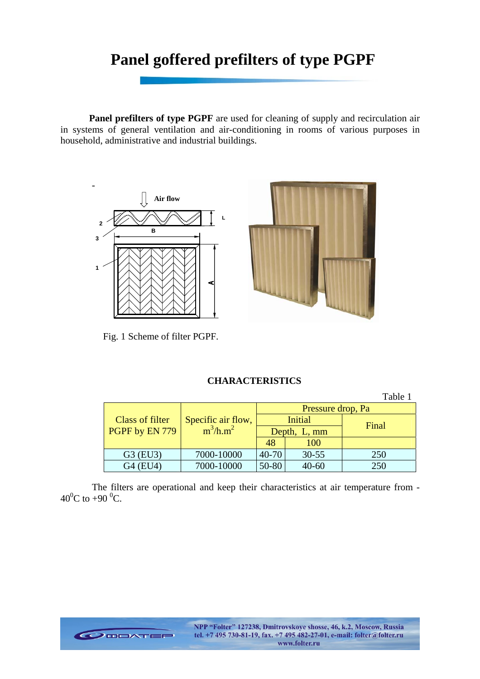# **Panel goffered prefilters of type PGPF**

**Panel prefilters of type PGPF** are used for cleaning of supply and recirculation air in systems of general ventilation and air-conditioning in rooms of various purposes in household, administrative and industrial buildings.



Fig. 1 Scheme of filter PGPF.

# **CHARACTERISTICS**

Table 1 Pressure drop, Pa Initial Class of filter Specific air flow,  $\begin{array}{|c|c|c|c|c|c|}\n\hline\n\text{GPF by EN 779} & \text{m}^3/\text{h.m}^2 & \text{Depth, L, mm}\n\hline\n\end{array}$  Final PGPF by EN 779 Specific air flow,  $m^3/h.m^2$ 48 100 G3 (EU3) 7000-10000 40-70 30-55 250 G4 (EU4) 7000-10000 50-80 40-60 250

The filters are operational and keep their characteristics at air temperature from -  $40^0C$  to  $+90^0C$ .